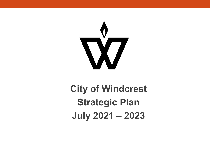

# **City of Windcrest Strategic Plan July 2021 – 2023**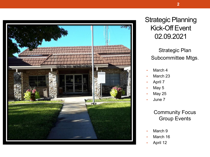

#### Strategic Planning Kick-Off Event 02.09.2021

#### Strategic Plan Subcommittee Mtgs.

- March 4
- March 23
- April 7
- May 5
- May 25
- June 7

#### Community Focus Group Events

- March 9
- March 16
- April 12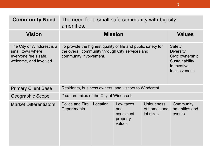| <b>Community Need</b>                                                                            | The need for a small safe community with big city<br>amenities.                                                                           |          |                                                      |                                                                                                              |                                      |
|--------------------------------------------------------------------------------------------------|-------------------------------------------------------------------------------------------------------------------------------------------|----------|------------------------------------------------------|--------------------------------------------------------------------------------------------------------------|--------------------------------------|
| <b>Vision</b>                                                                                    | <b>Mission</b>                                                                                                                            |          |                                                      | <b>Values</b>                                                                                                |                                      |
| The City of Windcrest is a<br>small town where<br>everyone feels safe,<br>welcome, and involved. | To provide the highest quality of life and public safety for<br>the overall community through City services and<br>community involvement. |          |                                                      | <b>Safety</b><br><b>Diversity</b><br>Civic ownership<br>Sustainability<br>Innovative<br><b>Inclusiveness</b> |                                      |
| <b>Primary Client Base</b>                                                                       | Residents, business owners, and visitors to Windcrest.                                                                                    |          |                                                      |                                                                                                              |                                      |
| <b>Geographic Scope</b>                                                                          | 2 square miles of the City of Windcrest.                                                                                                  |          |                                                      |                                                                                                              |                                      |
| <b>Market Differentiators</b>                                                                    | <b>Police and Fire</b><br><b>Departments</b>                                                                                              | Location | Low taxes<br>and<br>consistent<br>property<br>values | <b>Uniqueness</b><br>of homes and<br>lot sizes                                                               | Community<br>amenities and<br>events |

**3**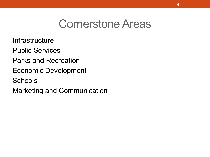# Cornerstone Areas

**Infrastructure** 

Public Services

- Parks and Recreation
- Economic Development
- **Schools**

Marketing and Communication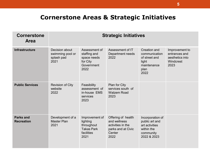#### **Cornerstone Areas & Strategic Initiatives**

| <b>Cornerstone</b><br><b>Area</b>     | <b>Strategic Initiatives</b>                             |                                                                                     |                                                                                                 |                                                                                                |                                                                         |
|---------------------------------------|----------------------------------------------------------|-------------------------------------------------------------------------------------|-------------------------------------------------------------------------------------------------|------------------------------------------------------------------------------------------------|-------------------------------------------------------------------------|
| <b>Infrastructure</b>                 | Decision about<br>swimming pool or<br>splash pad<br>2021 | Assessment of<br>staffing and<br>space needs<br>for City<br>Government<br>2022      | Assessment of IT<br>Department needs<br>2022                                                    | <b>Creation and</b><br>communication<br>of street and<br>light<br>maintenance<br>plan<br>2022  | Improvement to<br>entrances and<br>aesthetics into<br>Windcrest<br>2023 |
| <b>Public Services</b>                | <b>Revision of City</b><br>website<br>2022               | Feasibility<br>assessment of<br>in-house EMS<br>services<br>2023                    | Plan for City<br>services south of<br><b>Walzem Road</b><br>2023                                |                                                                                                |                                                                         |
| <b>Parks and</b><br><b>Recreation</b> | Development of a<br><b>Master Plan</b><br>2021           | Improvement of<br>lighting<br>throughout<br><b>Takas Park</b><br>facilities<br>2021 | Offering of health<br>and wellness<br>activities in the<br>parks and at Civic<br>Center<br>2022 | Incorporation of<br>public art and<br>art activities<br>within the<br>community<br>2022 & 2023 |                                                                         |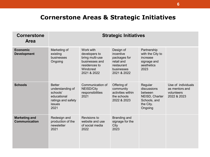#### **Cornerstone Areas & Strategic Initiatives**

| <b>Cornerstone</b><br><b>Area</b>            | <b>Strategic Initiatives</b>                                                                                |                                                                                                              |                                                                                                 |                                                                                             |                                                                   |
|----------------------------------------------|-------------------------------------------------------------------------------------------------------------|--------------------------------------------------------------------------------------------------------------|-------------------------------------------------------------------------------------------------|---------------------------------------------------------------------------------------------|-------------------------------------------------------------------|
| <b>Economic</b><br><b>Development</b>        | Marketing of<br>existing<br>businesses<br>Ongoing                                                           | Work with<br>developers to<br>bring multi-use<br>businesses and<br>residences to<br>Windcrest<br>2021 & 2022 | Design of<br>incentive<br>packages for<br>retail and<br>restaurant<br>businesses<br>2021 & 2022 | Partnership<br>with the City to<br>increase<br>signage and<br>aesthetics<br>2023            |                                                                   |
| <b>Schools</b>                               | <b>Better</b><br>understanding of<br>schools'<br>educational<br>ratings and safety<br><b>issues</b><br>2021 | Communication of<br><b>NEISD/City</b><br>responsibilities<br>2021                                            | Offering of<br>community<br>activities within<br>the schools<br>2022 & 2023                     | Regular<br>discussions<br>between<br>NEISD, Charter<br>Schools, and<br>the City.<br>Ongoing | Use of individuals<br>as mentors and<br>volunteers<br>2022 & 2023 |
| <b>Marketing and</b><br><b>Communication</b> | Redesign and<br>production of the<br>newsletter<br>2021                                                     | Revisions to<br>website and use<br>of social media<br>2022                                                   | Branding and<br>signage for the<br>City<br>2023                                                 |                                                                                             |                                                                   |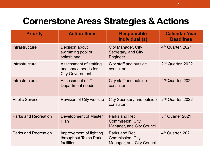## **Cornerstone Areas Strategies & Actions**

| <b>Priority</b>             | <b>Action Items</b>                                                     | <b>Responsible</b><br>Individual (s)                                                | <b>Calendar Year</b><br><b>Deadlines</b> |
|-----------------------------|-------------------------------------------------------------------------|-------------------------------------------------------------------------------------|------------------------------------------|
| Infrastructure              | <b>Decision about</b><br>swimming pool or<br>splash pad                 | <b>City Manager, City</b><br>Secretary, and City<br>Engineer                        | 4th Quarter, 2021                        |
| Infrastructure              | Assessment of staffing<br>and space needs for<br><b>City Government</b> | City staff and outside<br>consultant                                                | 2 <sup>nd</sup> Quarter, 2022            |
| Infrastructure              | Assessment of IT<br>Department needs                                    | City staff and outside<br>consultant                                                | 2 <sup>nd</sup> Quarter, 2022            |
| <b>Public Service</b>       | <b>Revision of City website</b>                                         | <b>City Secretary and outside</b><br>consultant                                     | 2 <sup>nd</sup> Quarter, 2022            |
| <b>Parks and Recreation</b> | Development of Master<br>Plan                                           | <b>Parks and Rec</b><br><b>Commission, City</b><br><b>Manager, and City Council</b> | 3rd Quarter 2021                         |
| <b>Parks and Recreation</b> | Improvement of lighting<br>throughout Takas Park<br>facilities          | <b>Parks and Rec</b><br><b>Commission, City</b><br><b>Manager, and City Council</b> | 4 <sup>th</sup> Quarter, 2021            |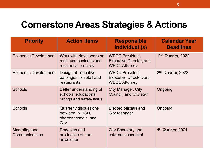## **Cornerstone Areas Strategies & Actions**

| <b>Priority</b>                        | <b>Action Items</b>                                                            | <b>Responsible</b><br>Individual (s)                                             | <b>Calendar Year</b><br><b>Deadlines</b> |
|----------------------------------------|--------------------------------------------------------------------------------|----------------------------------------------------------------------------------|------------------------------------------|
| <b>Economic Development</b>            | Work with developers on<br>multi-use business and<br>residential projects      | <b>WEDC President,</b><br><b>Executive Director, and</b><br><b>WEDC Attorney</b> | 2 <sup>nd</sup> Quarter, 2022            |
| <b>Economic Development</b>            | Design of incentive<br>packages for retail and<br>restaurants                  | <b>WEDC President,</b><br><b>Executive Director, and</b><br><b>WEDC Attorney</b> | 2 <sup>nd</sup> Quarter, 2022            |
| <b>Schools</b>                         | Better understanding of<br>schools' educational<br>ratings and safety issue    | <b>City Manager, City</b><br>Council, and City staff                             | Ongoing                                  |
| <b>Schools</b>                         | <b>Quarterly discussions</b><br>between NEISD,<br>charter schools, and<br>City | Elected officials and<br><b>City Manager</b>                                     | Ongoing                                  |
| Marketing and<br><b>Communications</b> | Redesign and<br>production of the<br>newsletter                                | <b>City Secretary and</b><br>external consultant                                 | 4 <sup>th</sup> Quarter, 2021            |